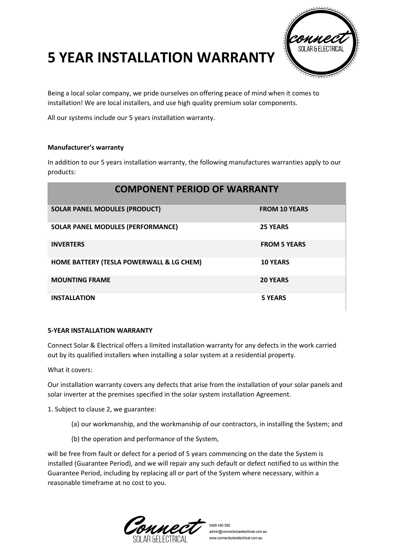## **5 YEAR INSTALLATION WARRANTY**



Being a local solar company, we pride ourselves on offering peace of mind when it comes to installation! We are local installers, and use high quality premium solar components.

All our systems include our 5 years installation warranty.

## **Manufacturer's warranty**

In addition to our 5 years installation warranty, the following manufactures warranties apply to our products:

| <b>COMPONENT PERIOD OF WARRANTY</b>      |                      |
|------------------------------------------|----------------------|
| <b>SOLAR PANEL MODULES (PRODUCT)</b>     | <b>FROM 10 YEARS</b> |
| <b>SOLAR PANEL MODULES (PERFORMANCE)</b> | <b>25 YEARS</b>      |
| <b>INVERTERS</b>                         | <b>FROM 5 YEARS</b>  |
| HOME BATTERY (TESLA POWERWALL & LG CHEM) | <b>10 YEARS</b>      |
| <b>MOUNTING FRAME</b>                    | <b>20 YEARS</b>      |
| <b>INSTALLATION</b>                      | <b>5 YEARS</b>       |

## **5-YEAR INSTALLATION WARRANTY**

Connect Solar & Electrical offers a limited installation warranty for any defects in the work carried out by its qualified installers when installing a solar system at a residential property.

What it covers:

Our installation warranty covers any defects that arise from the installation of your solar panels and solar inverter at the premises specified in the solar system installation Agreement.

1. Subject to clause 2, we guarantee:

- (a) our workmanship, and the workmanship of our contractors, in installing the System; and
- (b) the operation and performance of the System,

will be free from fault or defect for a period of 5 years commencing on the date the System is installed (Guarantee Period), and we will repair any such default or defect notified to us within the Guarantee Period, including by replacing all or part of the System where necessary, within a reasonable timeframe at no cost to you.

0488 480 086 admin@connectsolarelectrical.com.au www.connectsolarelectrical.com.au